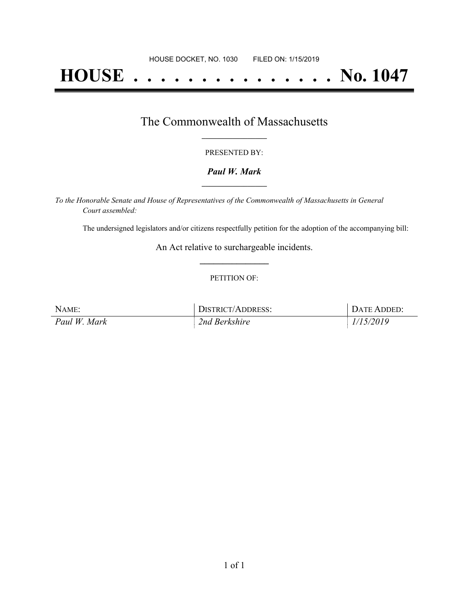# **HOUSE . . . . . . . . . . . . . . . No. 1047**

### The Commonwealth of Massachusetts **\_\_\_\_\_\_\_\_\_\_\_\_\_\_\_\_\_**

#### PRESENTED BY:

#### *Paul W. Mark* **\_\_\_\_\_\_\_\_\_\_\_\_\_\_\_\_\_**

*To the Honorable Senate and House of Representatives of the Commonwealth of Massachusetts in General Court assembled:*

The undersigned legislators and/or citizens respectfully petition for the adoption of the accompanying bill:

An Act relative to surchargeable incidents. **\_\_\_\_\_\_\_\_\_\_\_\_\_\_\_**

#### PETITION OF:

| NAME:        | DISTRICT/ADDRESS: | DATE ADDED: |
|--------------|-------------------|-------------|
| Paul W. Mark | 2nd Berkshire     | 1/15/2019   |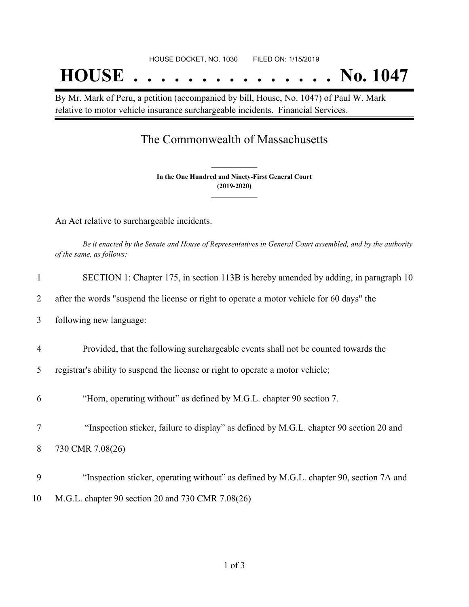By Mr. Mark of Peru, a petition (accompanied by bill, House, No. 1047) of Paul W. Mark relative to motor vehicle insurance surchargeable incidents. Financial Services.

## The Commonwealth of Massachusetts

**In the One Hundred and Ninety-First General Court (2019-2020) \_\_\_\_\_\_\_\_\_\_\_\_\_\_\_**

**\_\_\_\_\_\_\_\_\_\_\_\_\_\_\_**

An Act relative to surchargeable incidents.

Be it enacted by the Senate and House of Representatives in General Court assembled, and by the authority *of the same, as follows:*

| 1              | SECTION 1: Chapter 175, in section 113B is hereby amended by adding, in paragraph 10      |
|----------------|-------------------------------------------------------------------------------------------|
| 2              | after the words "suspend the license or right to operate a motor vehicle for 60 days" the |
| 3              | following new language:                                                                   |
| $\overline{4}$ | Provided, that the following surchargeable events shall not be counted towards the        |
| 5              | registrar's ability to suspend the license or right to operate a motor vehicle;           |
| 6              | "Horn, operating without" as defined by M.G.L. chapter 90 section 7.                      |
| 7              | "Inspection sticker, failure to display" as defined by M.G.L. chapter 90 section 20 and   |
| 8              | 730 CMR 7.08(26)                                                                          |
| 9              | "Inspection sticker, operating without" as defined by M.G.L. chapter 90, section 7A and   |
| 10             | M.G.L. chapter 90 section 20 and 730 CMR 7.08(26)                                         |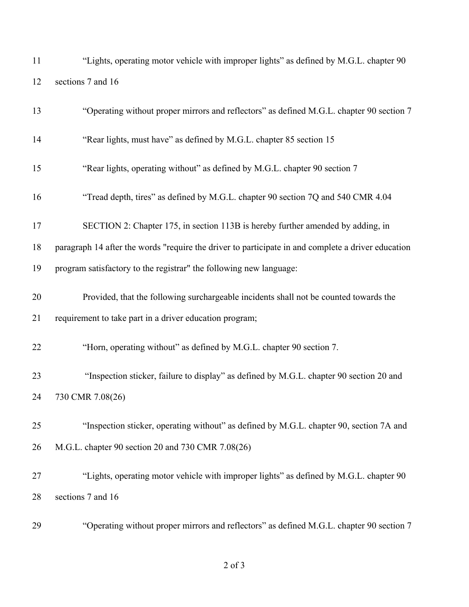"Lights, operating motor vehicle with improper lights" as defined by M.G.L. chapter 90 sections 7 and 16

| 13 | "Operating without proper mirrors and reflectors" as defined M.G.L. chapter 90 section 7           |
|----|----------------------------------------------------------------------------------------------------|
| 14 | "Rear lights, must have" as defined by M.G.L. chapter 85 section 15                                |
| 15 | "Rear lights, operating without" as defined by M.G.L. chapter 90 section 7                         |
| 16 | "Tread depth, tires" as defined by M.G.L. chapter 90 section 7Q and 540 CMR 4.04                   |
| 17 | SECTION 2: Chapter 175, in section 113B is hereby further amended by adding, in                    |
| 18 | paragraph 14 after the words "require the driver to participate in and complete a driver education |
| 19 | program satisfactory to the registrar" the following new language:                                 |
| 20 | Provided, that the following surchargeable incidents shall not be counted towards the              |
| 21 | requirement to take part in a driver education program;                                            |
| 22 | "Horn, operating without" as defined by M.G.L. chapter 90 section 7.                               |
| 23 | "Inspection sticker, failure to display" as defined by M.G.L. chapter 90 section 20 and            |
| 24 | 730 CMR 7.08(26)                                                                                   |
| 25 | "Inspection sticker, operating without" as defined by M.G.L. chapter 90, section 7A and            |
| 26 | M.G.L. chapter 90 section 20 and 730 CMR 7.08(26)                                                  |
| 27 | "Lights, operating motor vehicle with improper lights" as defined by M.G.L. chapter 90             |
| 28 | sections 7 and 16                                                                                  |
| 29 | "Operating without proper mirrors and reflectors" as defined M.G.L. chapter 90 section 7           |

of 3